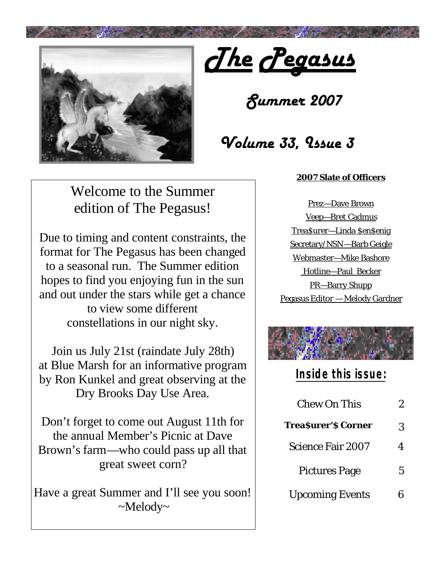

*The Pegasus*

*Summer 2007*

# *Volume 33, Issue 3*

#### **2007 Slate of Officers**

Welcome to the Summer edition of The Pegasus!

Due to timing and content constraints, the format for The Pegasus has been changed to a seasonal run. The Summer edition hopes to find you enjoying fun in the sun and out under the stars while get a chance to view some different constellations in our night sky.

Join us July 21st (raindate July 28th) at Blue Marsh for an informative program by Ron Kunkel and great observing at the Dry Brooks Day Use Area.

Don't forget to come out August 11th for the annual Member's Picnic at Dave Brown's farm—who could pass up all that great sweet corn?

Have a great Summer and I'll see you soon!  $\sim$ Melody $\sim$ 

Prez—Dave Brown Veep—Bret Cadmus Trea\$urer—Linda \$en\$enig Secretary/NSN—Barb Geigle Webmaster—Mike Bashore Hotline—Paul Becker PR—Barry Shupp Pegasus Editor — Melody Gardner



## **Inside this issue:**

| Chew On This              | ソ |
|---------------------------|---|
| <b>TreaSurer'S Corner</b> | 3 |
| <b>Science Fair 2007</b>  | Δ |
| <b>Pictures Page</b>      | 5 |
| <b>Upcoming Events</b>    |   |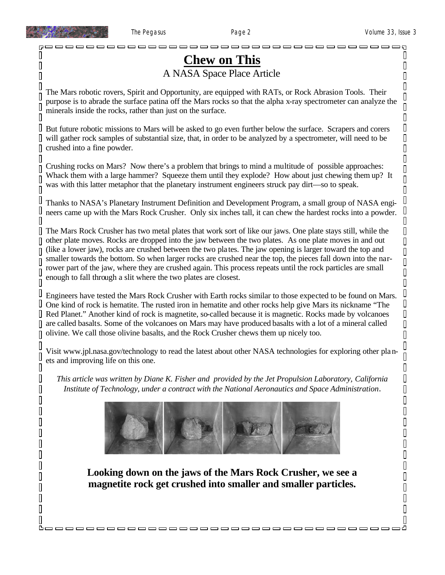O

 $\overline{\mathbf{u}}$ 

 $\overline{\Pi}$ 

 $\overline{\mathsf{I}}$ 

П

Π

 $\mathbb I$ 

 $\overline{\Pi}$ 

Π

 $\overline{\Pi}$ 

Π

0 П

O

Π  $\overline{\Pi}$ 

Π

 $\overline{\Pi}$ 

 $\overline{\Box}$ 

0

Ш

Π Π

┃

Ш Π

П

 $\mathbb I$ 

 $\overline{\Pi}$ П

П

Π Π

П  $\overline{\Pi}$ 

Π Π

 $\overline{\Pi}$  $\overline{\Pi}$ 

 $\overline{\Pi}$ 

D

 $\begin{matrix} \end{matrix}$ 

 $\mathbb I$  $\overline{\mathsf{I}}$ 

 $\mathbb I$  $\Box$ 

 $\overline{\mathbf{u}}$ 

 $\Box$  $\Box$ 

 $\overline{\mathbf{u}}$ 

 $\Box$ 

 $\overline{\mathsf{I}}$ 

 $\mathbb I$ 

 $\overline{\mathsf{I}}$  $\Box$ 

┃

 $\mathbb I$  $\mathbb I$ 

 $\mathbb I$ 

 $\mathbb I$ 

 $\mathbb I$ 

 $\overline{\mathbf{u}}$ 

 $\Box$  $\Box$ 

 $\mathbb I$  $\Box$ 

 $\overline{\mathbf{u}}$ 

 $\mathbb I$  $\mathbb I$ 

 $\overline{\Pi}$ 

 $\mathbb I$  $\overline{\mathbb{I}}$ 

 $\overline{\mathbb{I}}$ 

 $\overline{\mathbb{I}}$ 

I  $\mathbb I$ 

 $\overline{\mathbf{u}}$ 

 $\overline{\Pi}$  $\mathsf I$ 

 $\mathsf I$  $\overline{\mathbb{I}}$ 

 $\mathbb I$  $\overline{\mathbb{I}}$ 

 $\overline{\Pi}$  $\overline{\mathsf{I}}$ 

ப

## **Chew on This** A NASA Space Place Article

The Mars robotic rovers, Spirit and Opportunity, are equipped with RATs, or Rock Abrasion Tools. Their purpose is to abrade the surface patina off the Mars rocks so that the alpha x-ray spectrometer can analyze the minerals inside the rocks, rather than just on the surface.

I But future robotic missions to Mars will be asked to go even further below the surface. Scrapers and corers will gather rock samples of substantial size, that, in order to be analyzed by a spectrometer, will need to be Ш crushed into a fine powder. П

Crushing rocks on Mars? Now there's a problem that brings to mind a multitude of possible approaches: Whack them with a large hammer? Squeeze them until they explode? How about just chewing them up? It was with this latter metaphor that the planetary instrument engineers struck pay dirt—so to speak.

Thanks to NASA's Planetary Instrument Definition and Development Program, a small group of NASA engineers came up with the Mars Rock Crusher. Only six inches tall, it can chew the hardest rocks into a powder.

The Mars Rock Crusher has two metal plates that work sort of like our jaws. One plate stays still, while the other plate moves. Rocks are dropped into the jaw between the two plates. As one plate moves in and out (like a lower jaw), rocks are crushed between the two pla tes. The jaw opening is larger toward the top and smaller towards the bottom. So when larger rocks are crushed near the top, the pieces fall down into the narrower part of the jaw, where they are crushed again. This process repeats until the rock particles are small enough to fall through a slit where the two plates are closest.

Engineers have tested the Mars Rock Crusher with Earth rocks similar to those expected to be found on Mars. One kind of rock is hematite. The rusted iron in hematite and other rocks help give Mars its nickname "The Red Planet." Another kind of rock is magnetite, so-called because it is magnetic. Rocks made by volcanoes are called basalts. Some of the volcanoes on Mars may have produced basalts with a lot of a mineral called olivine. We call those olivine basalts, and the Rock Crusher chews them up nicely too.

Visit www.jpl.nasa.gov/technology to read the latest about other NASA technologies for exploring other planets and improving life on this one.

*This article was written by Diane K. Fisher and provided by the Jet Propulsion Laboratory, California Institute of Technology, under a contract with the National Aeronautics and Space Administration.*



**Looking down on the jaws of the Mars Rock Crusher, we see a magnetite rock get crushed into smaller and smaller particles.**

<u> booooooooooooooooooooooooooooooo</u>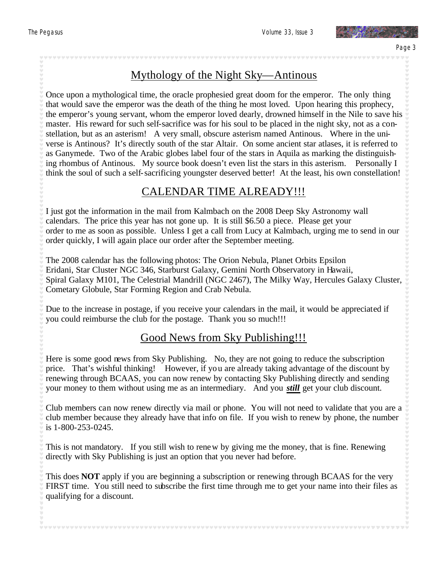

## Mythology of the Night Sky—Antinous

Once upon a mythological time, the oracle prophesied great doom for the emperor. The only thing that would save the emperor was the death of the thing he most loved. Upon hearing this prophecy, the emperor's young servant, whom the emperor loved dearly, drowned himself in the Nile to save his master. His reward for such self-sacrifice was for his soul to be placed in the night sky, not as a constellation, but as an asterism! A very small, obscure asterism named Antinous. Where in the universe is Antinous? It's directly south of the star Altair. On some ancient star atlases, it is referred to as Ganymede. Two of the Arabic globes label four of the stars in Aquila as marking the distinguishing rhombus of Antinous. My source book doesn't even list the stars in this asterism. Personally I think the soul of such a self-sacrificing youngster deserved better! At the least, his own constellation!

### CALENDAR TIME ALREADY!!!

I just got the information in the mail from Kalmbach on the 2008 Deep Sky Astronomy wall calendars. The price this year has not gone up. It is still \$6.50 a piece. Please get your order to me as soon as possible. Unless I get a call from Lucy at Kalmbach, urging me to send in our order quickly, I will again place our order after the September meeting.

The 2008 calendar has the following photos: The Orion Nebula, Planet Orbits Epsilon Eridani, Star Cluster NGC 346, Starburst Galaxy, Gemini North Observatory in Hawaii, Spiral Galaxy M101, The Celestrial Mandrill (NGC 2467), The Milky Way, Hercules Galaxy Cluster, Cometary Globule, Star Forming Region and Crab Nebula.

Due to the increase in postage, if you receive your calendars in the mail, it would be appreciated if you could reimburse the club for the postage. Thank you so much!!!

### Good News from Sky Publishing!!!

Here is some good news from Sky Publishing. No, they are not going to reduce the subscription price. That's wishful thinking! However, if you are already taking advantage of the discount by renewing through BCAAS, you can now renew by contacting Sky Publishing directly and sending your money to them without using me as an intermediary. And you *still* get your club discount.

Club members can now renew directly via mail or phone. You will not need to validate that you are a club member because they already have that info on file. If you wish to renew by phone, the number is 1-800-253-0245.

This is not mandatory. If you still wish to renew by giving me the money, that is fine. Renewing directly with Sky Publishing is just an option that you never had before.

This does **NOT** apply if you are beginning a subscription or renewing through BCAAS for the very FIRST time. You still need to subscribe the first time through me to get your name into their files as qualifying for a discount.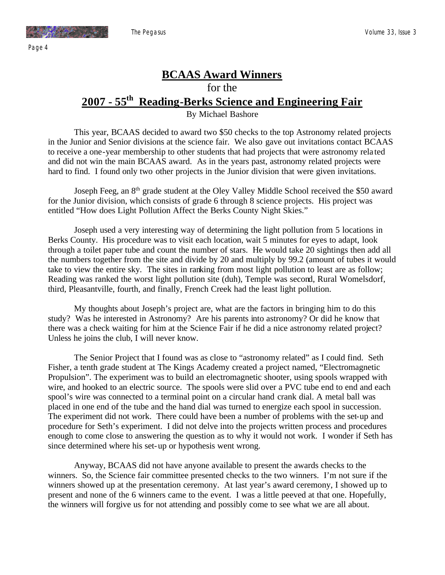

## **BCAAS Award Winners** for the **2007 - 55th Reading-Berks Science and Engineering Fair**

By Michael Bashore

This year, BCAAS decided to award two \$50 checks to the top Astronomy related projects in the Junior and Senior divisions at the science fair. We also gave out invitations contact BCAAS to receive a one-year membership to other students that had projects that were astronomy rela ted and did not win the main BCAAS award. As in the years past, astronomy related projects were hard to find. I found only two other projects in the Junior division that were given invitations.

Joseph Feeg, an 8<sup>th</sup> grade student at the Oley Valley Middle School received the \$50 award for the Junior division, which consists of grade 6 through 8 science projects. His project was entitled "How does Light Pollution Affect the Berks County Night Skies."

 Joseph used a very interesting way of determining the light pollution from 5 locations in Berks County. His procedure was to visit each location, wait 5 minutes for eyes to adapt, look through a toilet paper tube and count the number of stars. He would take 20 sightings then add all the numbers together from the site and divide by 20 and multiply by 99.2 (amount of tubes it would take to view the entire sky. The sites in ranking from most light pollution to least are as follow; Reading was ranked the worst light pollution site (duh), Temple was second, Rural Womelsdorf, third, Pleasantville, fourth, and finally, French Creek had the least light pollution.

My thoughts about Joseph's project are, what are the factors in bringing him to do this study? Was he interested in Astronomy? Are his parents into astronomy? Or did he know that there was a check waiting for him at the Science Fair if he did a nice astronomy related project? Unless he joins the club, I will never know.

The Senior Project that I found was as close to "astronomy related" as I could find. Seth Fisher, a tenth grade student at The Kings Academy created a project named, "Electromagnetic Propulsion". The experiment was to build an electromagnetic shooter, using spools wrapped with wire, and hooked to an electric source. The spools were slid over a PVC tube end to end and each spool's wire was connected to a terminal point on a circular hand crank dial. A metal ball was placed in one end of the tube and the hand dial was turned to energize each spool in succession. The experiment did not work. There could have been a number of problems with the set-up and procedure for Seth's experiment. I did not delve into the projects written process and procedures enough to come close to answering the question as to why it would not work. I wonder if Seth has since determined where his set-up or hypothesis went wrong.

Anyway, BCAAS did not have anyone available to present the awards checks to the winners. So, the Science fair committee presented checks to the two winners. I'm not sure if the winners showed up at the presentation ceremony. At last year's award ceremony, I showed up to present and none of the 6 winners came to the event. I was a little peeved at that one. Hopefully, the winners will forgive us for not attending and possibly come to see what we are all about.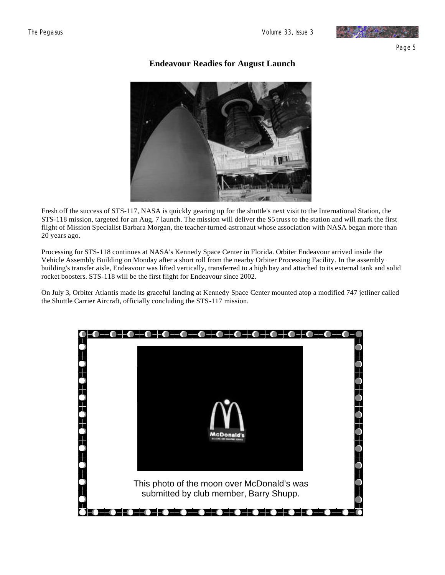

Page 5

**Endeavour Readies for August Launch**

Fresh off the success of STS-117, NASA is quickly gearing up for the shuttle's next visit to the International Station, the STS-118 mission, targeted for an Aug. 7 launch. The mission will deliver the S5 truss to the station and will mark the first flight of Mission Specialist Barbara Morgan, the teacher-turned-astronaut whose association with NASA began more than 20 years ago.

Processing for STS-118 continues at NASA's Kennedy Space Center in Florida. Orbiter Endeavour arrived inside the Vehicle Assembly Building on Monday after a short roll from the nearby Orbiter Processing Facility. In the assembly building's transfer aisle, Endeavour was lifted vertically, transferred to a high bay and attached to its external tank and solid rocket boosters. STS-118 will be the first flight for Endeavour since 2002.

On July 3, Orbiter Atlantis made its graceful landing at Kennedy Space Center mounted atop a modified 747 jetliner called the Shuttle Carrier Aircraft, officially concluding the STS-117 mission.